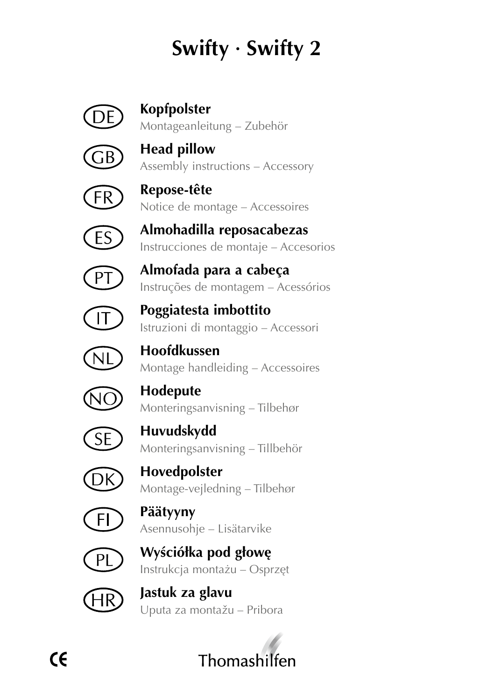## **Swifty · Swifty 2**

## **Kopfpolster**

Montageanleitung – Zubehör



**Head pillow** Assembly instructions – Accessory



**Repose-tête** Notice de montage – Accessoires



**Almohadilla reposacabezas** Instrucciones de montaje – Accesorios



**Almofada para a cabeça** Instruções de montagem – Acessórios



**Poggiatesta imbottito** Istruzioni di montaggio – Accessori



**Hoofdkussen** Montage handleiding – Accessoires



**Hodepute** Monteringsanvisning – Tilbehør



**Huvudskydd** Monteringsanvisning – Tillbehör



**Hovedpolster** Montage-vejledning – Tilbehør



**Päätyyny** Asennusohje – Lisätarvike



**Wyściółka pod głowę** Instrukcja montażu – Osprzęt



**Jastuk za glavu** Uputa za montažu – Pribora

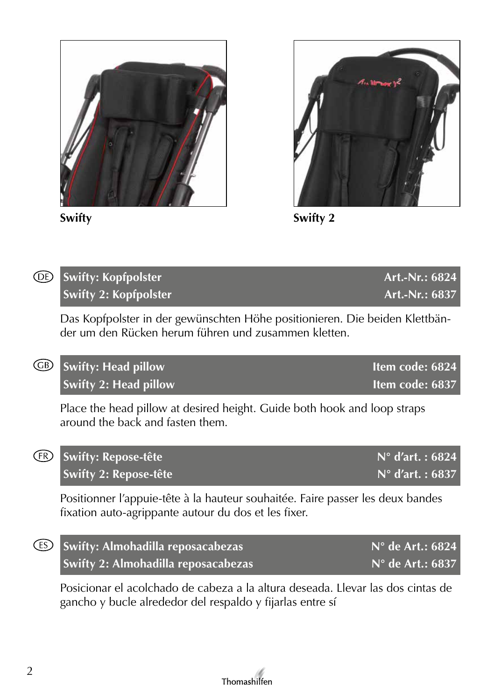



**Swifty Swifty 2**

| <b>DE</b> Swifty: Kopfpolster | Art.-Nr.: 6824 |
|-------------------------------|----------------|
| <b>Swifty 2: Kopfpolster</b>  | Art.-Nr.: 6837 |

Das Kopfpolster in der gewünschten Höhe positionieren. Die beiden Klettbänder um den Rücken herum führen und zusammen kletten.

| <b>68</b> Swifty: Head pillow | Item code: 6824 |
|-------------------------------|-----------------|
| <b>Swifty 2: Head pillow</b>  | Item code: 6837 |

Place the head pillow at desired height. Guide both hook and loop straps around the back and fasten them.

| <b>ER</b> Swifty: Repose-tête | $N^{\circ}$ d'art. : 6824 |
|-------------------------------|---------------------------|
| <b>Swifty 2: Repose-tête</b>  | $N^{\circ}$ d'art. : 6837 |

Positionner l'appuie-tête à la hauteur souhaitée. Faire passer les deux bandes fixation auto-agrippante autour du dos et les fixer.

| <b>ES</b> Swifty: Almohadilla reposacabezas | N° de Art.: 6824          |
|---------------------------------------------|---------------------------|
| Swifty 2: Almohadilla reposacabezas         | $N^{\circ}$ de Art.: 6837 |

Posicionar el acolchado de cabeza a la altura deseada. Llevar las dos cintas de gancho y bucle alrededor del respaldo y fijarlas entre sí

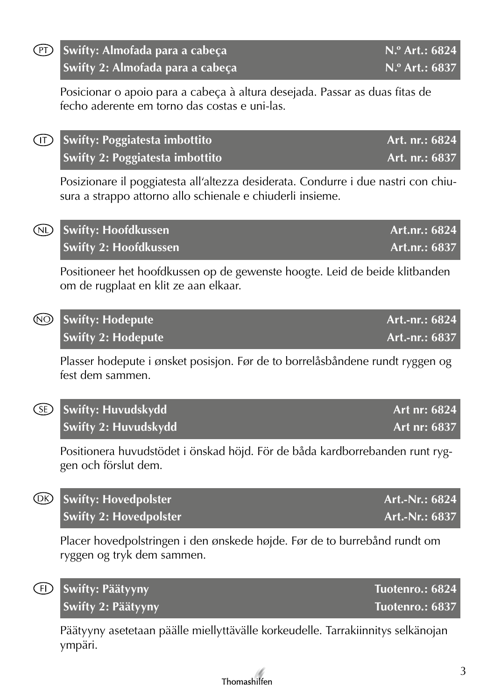| $\left(\overline{P}\right)$ | Swifty: Almofada para a cabeça<br>Swifty 2: Almofada para a cabeça                                                                               | N.º Art.: 6824<br>$N.o$ Art.: 6837 |
|-----------------------------|--------------------------------------------------------------------------------------------------------------------------------------------------|------------------------------------|
|                             | Posicionar o apoio para a cabeça à altura desejada. Passar as duas fitas de<br>fecho aderente em torno das costas e uni-las.                     |                                    |
| (T)                         | <b>Swifty: Poggiatesta imbottito</b><br>Swifty 2: Poggiatesta imbottito                                                                          | Art. nr.: 6824<br>Art. nr.: 6837   |
|                             | Posizionare il poggiatesta all'altezza desiderata. Condurre i due nastri con chiu-<br>sura a strappo attorno allo schienale e chiuderli insieme. |                                    |
| $\circledR$                 | <b>Swifty: Hoofdkussen</b><br><b>Swifty 2: Hoofdkussen</b>                                                                                       | Art.nr.: 6824<br>Art.nr.: 6837     |
|                             | Positioneer het hoofdkussen op de gewenste hoogte. Leid de beide klitbanden<br>om de rugplaat en klit ze aan elkaar.                             |                                    |
| ⑩                           | <b>Swifty: Hodepute</b><br><b>Swifty 2: Hodepute</b>                                                                                             | Art.-nr.: 6824<br>Art.-nr.: 6837   |
|                             | Plasser hodepute i ønsket posisjon. Før de to borrelåsbåndene rundt ryggen og<br>fest dem sammen.                                                |                                    |
| Œ                           | Swifty: Huvudskydd<br>Swifty 2: Huvudskydd                                                                                                       | Art nr: 6824<br>Art nr: 6837       |
|                             | Positionera huvudstödet i önskad höjd. För de båda kardborrebanden runt ryg-<br>gen och förslut dem.                                             |                                    |
| @                           | <b>Swifty: Hovedpolster</b><br><b>Swifty 2: Hovedpolster</b>                                                                                     | Art.-Nr.: 6824<br>Art.-Nr.: 6837   |
|                             | Placer hovedpolstringen i den ønskede højde. Før de to burrebånd rundt om<br>ryggen og tryk dem sammen.                                          |                                    |
| Œ                           | Swifty: Päätyyny<br><b>Swifty 2: Päätyyny</b>                                                                                                    | Tuotenro.: 6824<br>Tuotenro.: 6837 |
|                             | Päätyyny asetetaan päälle miellyttävälle korkeudelle. Tarrakiinnitys selkänojan<br>ympäri.                                                       |                                    |